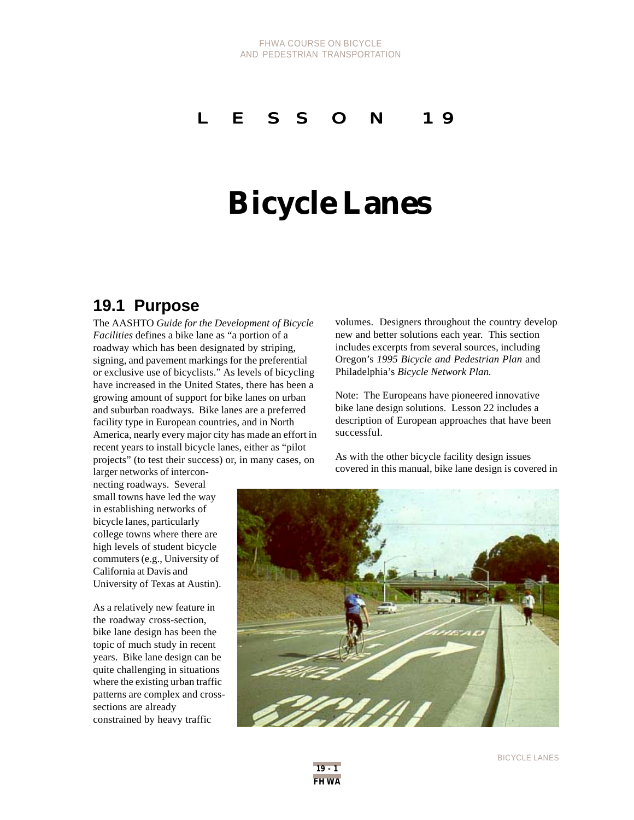### L E S S O N 1 9

# **Bicycle Lanes**

### **19.1 Purpose**

The AASHTO *Guide for the Development of Bicycle Facilities* defines a bike lane as "a portion of a roadway which has been designated by striping, signing, and pavement markings for the preferential or exclusive use of bicyclists." As levels of bicycling have increased in the United States, there has been a growing amount of support for bike lanes on urban and suburban roadways. Bike lanes are a preferred facility type in European countries, and in North America, nearly every major city has made an effort in recent years to install bicycle lanes, either as "pilot projects" (to test their success) or, in many cases, on

larger networks of interconnecting roadways. Several small towns have led the way in establishing networks of bicycle lanes, particularly college towns where there are high levels of student bicycle commuters (e.g., University of California at Davis and University of Texas at Austin).

As a relatively new feature in the roadway cross-section, bike lane design has been the topic of much study in recent years. Bike lane design can be quite challenging in situations where the existing urban traffic patterns are complex and crosssections are already constrained by heavy traffic

volumes. Designers throughout the country develop new and better solutions each year. This section includes excerpts from several sources, including Oregon's *1995 Bicycle and Pedestrian Plan* and Philadelphia's *Bicycle Network Plan.*

Note: The Europeans have pioneered innovative bike lane design solutions. Lesson 22 includes a description of European approaches that have been successful.

As with the other bicycle facility design issues covered in this manual, bike lane design is covered in



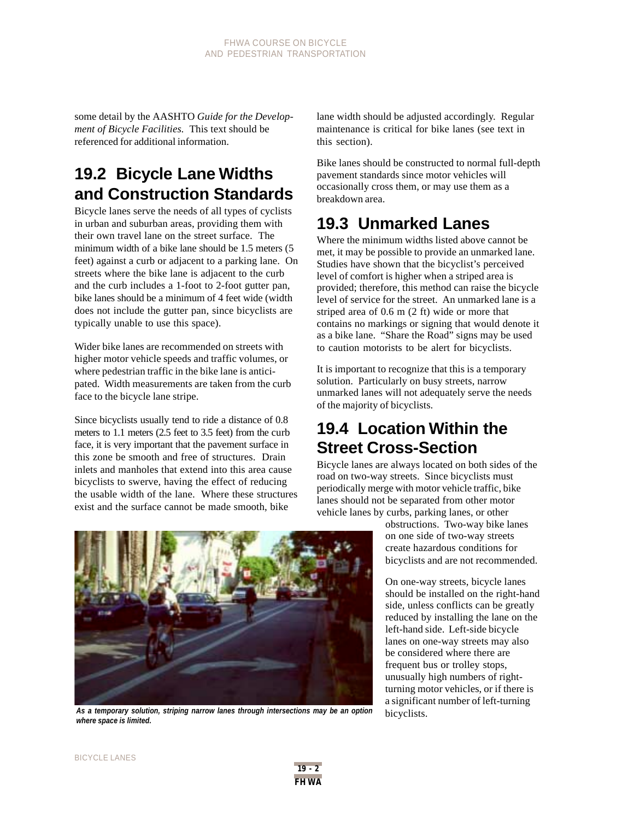some detail by the AASHTO *Guide for the Development of Bicycle Facilities.* This text should be referenced for additional information.

# **19.2 Bicycle Lane Widths and Construction Standards**

Bicycle lanes serve the needs of all types of cyclists in urban and suburban areas, providing them with their own travel lane on the street surface. The minimum width of a bike lane should be 1.5 meters (5 feet) against a curb or adjacent to a parking lane. On streets where the bike lane is adjacent to the curb and the curb includes a 1-foot to 2-foot gutter pan, bike lanes should be a minimum of 4 feet wide (width does not include the gutter pan, since bicyclists are typically unable to use this space).

Wider bike lanes are recommended on streets with higher motor vehicle speeds and traffic volumes, or where pedestrian traffic in the bike lane is anticipated. Width measurements are taken from the curb face to the bicycle lane stripe.

Since bicyclists usually tend to ride a distance of 0.8 meters to 1.1 meters (2.5 feet to 3.5 feet) from the curb face, it is very important that the pavement surface in this zone be smooth and free of structures. Drain inlets and manholes that extend into this area cause bicyclists to swerve, having the effect of reducing the usable width of the lane. Where these structures exist and the surface cannot be made smooth, bike

lane width should be adjusted accordingly. Regular maintenance is critical for bike lanes (see text in this section).

Bike lanes should be constructed to normal full-depth pavement standards since motor vehicles will occasionally cross them, or may use them as a breakdown area.

## **19.3 Unmarked Lanes**

Where the minimum widths listed above cannot be met, it may be possible to provide an unmarked lane. Studies have shown that the bicyclist's perceived level of comfort is higher when a striped area is provided; therefore, this method can raise the bicycle level of service for the street. An unmarked lane is a striped area of 0.6 m (2 ft) wide or more that contains no markings or signing that would denote it as a bike lane. "Share the Road" signs may be used to caution motorists to be alert for bicyclists.

It is important to recognize that this is a temporary solution. Particularly on busy streets, narrow unmarked lanes will not adequately serve the needs of the majority of bicyclists.

### **19.4 Location Within the Street Cross-Section**

Bicycle lanes are always located on both sides of the road on two-way streets. Since bicyclists must periodically merge with motor vehicle traffic, bike lanes should not be separated from other motor vehicle lanes by curbs, parking lanes, or other

> obstructions. Two-way bike lanes on one side of two-way streets create hazardous conditions for bicyclists and are not recommended.

On one-way streets, bicycle lanes should be installed on the right-hand side, unless conflicts can be greatly reduced by installing the lane on the left-hand side. Left-side bicycle lanes on one-way streets may also be considered where there are frequent bus or trolley stops, unusually high numbers of rightturning motor vehicles, or if there is a significant number of left-turning



As a temporary solution, striping narrow lanes through intersections may be an option bicyclists. *where space is limited.*

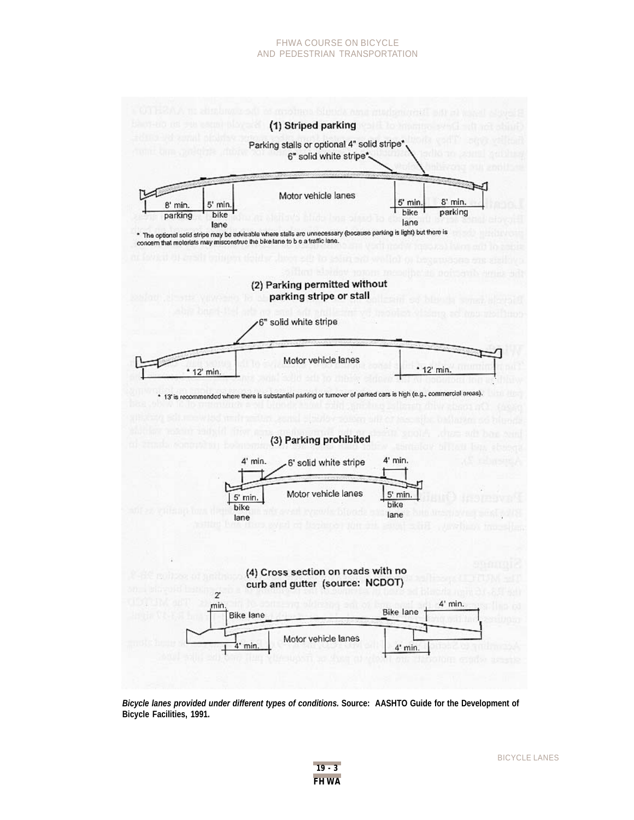

*Bicycle lanes provided under different types of conditions.* **Source: AASHTO Guide for the Development of Bicycle Facilities, 1991.**

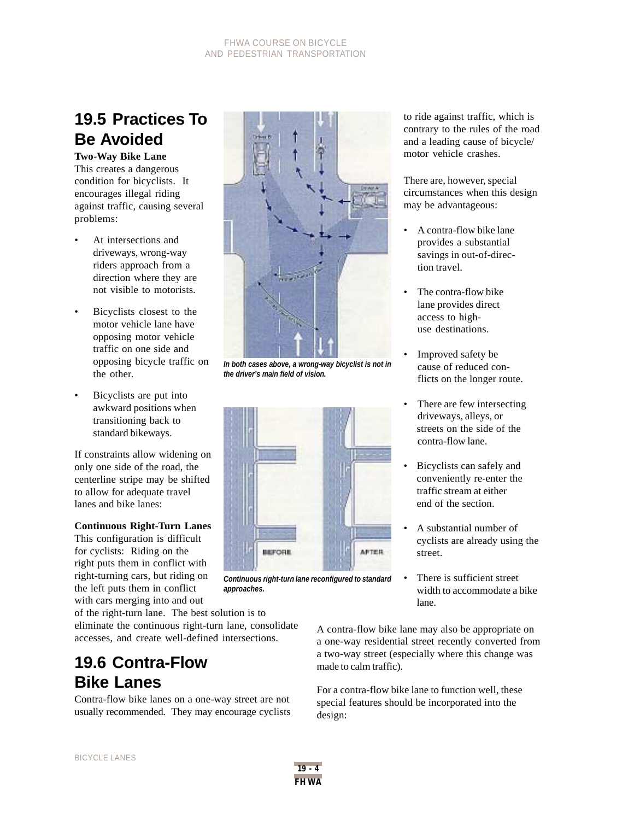# **19.5 Practices To Be Avoided**

**Two-Way Bike Lane** This creates a dangerous condition for bicyclists. It encourages illegal riding against traffic, causing several problems:

- At intersections and driveways, wrong-way riders approach from a direction where they are not visible to motorists.
- Bicyclists closest to the motor vehicle lane have opposing motor vehicle traffic on one side and opposing bicycle traffic on the other.
- Bicyclists are put into awkward positions when transitioning back to standard bikeways.

If constraints allow widening on only one side of the road, the centerline stripe may be shifted to allow for adequate travel lanes and bike lanes:

#### **Continuous Right-Turn Lanes**

This configuration is difficult for cyclists: Riding on the right puts them in conflict with right-turning cars, but riding on the left puts them in conflict with cars merging into and out

of the right-turn lane. The best solution is to eliminate the continuous right-turn lane, consolidate accesses, and create well-defined intersections.

## **19.6 Contra-Flow Bike Lanes**

Contra-flow bike lanes on a one-way street are not usually recommended. They may encourage cyclists



*In both cases above, a wrong-way bicyclist is not in the driver's main field of vision.*



*Continuous right-turn lane reconfigured to standard approaches.*

to ride against traffic, which is contrary to the rules of the road and a leading cause of bicycle/ motor vehicle crashes.

There are, however, special circumstances when this design may be advantageous:

- A contra-flow bike lane provides a substantial savings in out-of-direction travel.
- The contra-flow bike lane provides direct access to highuse destinations.
- Improved safety be cause of reduced conflicts on the longer route.
- There are few intersecting driveways, alleys, or streets on the side of the contra-flow lane.
- Bicyclists can safely and conveniently re-enter the traffic stream at either end of the section.
- A substantial number of cyclists are already using the street.
- There is sufficient street width to accommodate a bike lane.

A contra-flow bike lane may also be appropriate on a one-way residential street recently converted from a two-way street (especially where this change was made to calm traffic).

For a contra-flow bike lane to function well, these special features should be incorporated into the design:

BICYCLE LANES

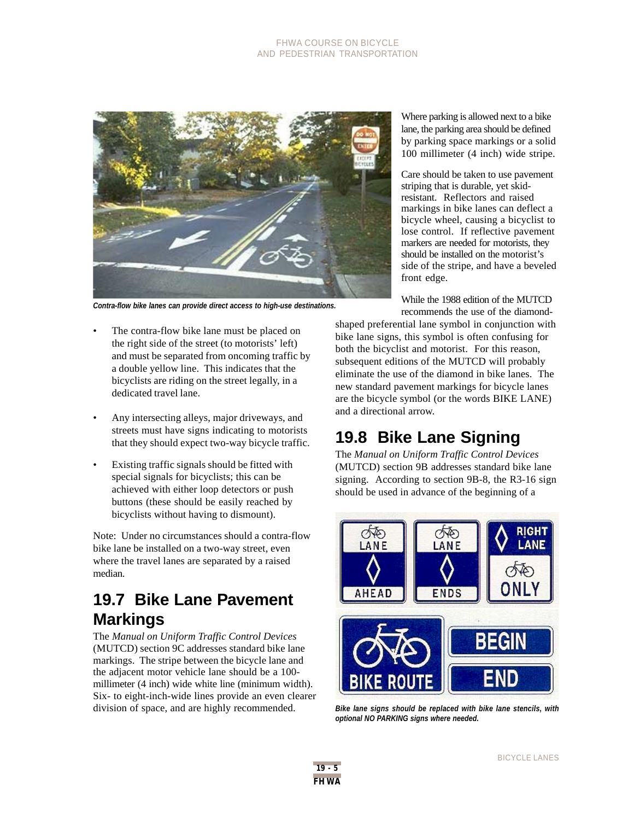

*Contra-flow bike lanes can provide direct access to high-use destinations.*

- The contra-flow bike lane must be placed on the right side of the street (to motorists' left) and must be separated from oncoming traffic by a double yellow line. This indicates that the bicyclists are riding on the street legally, in a dedicated travel lane.
- Any intersecting alleys, major driveways, and streets must have signs indicating to motorists that they should expect two-way bicycle traffic.
- Existing traffic signals should be fitted with special signals for bicyclists; this can be achieved with either loop detectors or push buttons (these should be easily reached by bicyclists without having to dismount).

Note: Under no circumstances should a contra-flow bike lane be installed on a two-way street, even where the travel lanes are separated by a raised median.

### **19.7 Bike Lane Pavement Markings**

The *Manual on Uniform Traffic Control Devices* (MUTCD) section 9C addresses standard bike lane markings. The stripe between the bicycle lane and the adjacent motor vehicle lane should be a 100 millimeter (4 inch) wide white line (minimum width). Six- to eight-inch-wide lines provide an even clearer division of space, and are highly recommended.

Where parking is allowed next to a bike lane, the parking area should be defined by parking space markings or a solid 100 millimeter (4 inch) wide stripe.

Care should be taken to use pavement striping that is durable, yet skidresistant. Reflectors and raised markings in bike lanes can deflect a bicycle wheel, causing a bicyclist to lose control. If reflective pavement markers are needed for motorists, they should be installed on the motorist's side of the stripe, and have a beveled front edge.

While the 1988 edition of the MUTCD recommends the use of the diamond-

shaped preferential lane symbol in conjunction with bike lane signs, this symbol is often confusing for both the bicyclist and motorist. For this reason, subsequent editions of the MUTCD will probably eliminate the use of the diamond in bike lanes. The new standard pavement markings for bicycle lanes are the bicycle symbol (or the words BIKE LANE) and a directional arrow.

### **19.8 Bike Lane Signing**

The *Manual on Uniform Traffic Control Devices* (MUTCD) section 9B addresses standard bike lane signing. According to section 9B-8, the R3-16 sign should be used in advance of the beginning of a



*Bike lane signs should be replaced with bike lane stencils, with optional NO PARKING signs where needed.*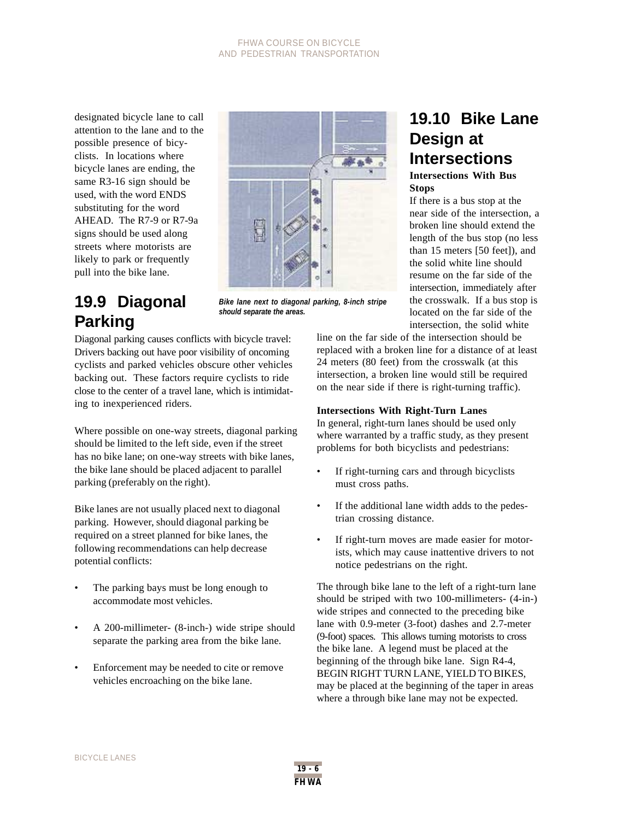designated bicycle lane to call attention to the lane and to the possible presence of bicyclists. In locations where bicycle lanes are ending, the same R3-16 sign should be used, with the word ENDS substituting for the word AHEAD. The R7-9 or R7-9a signs should be used along streets where motorists are likely to park or frequently pull into the bike lane.

# **19.9 Diagonal Parking**



*Bike lane next to diagonal parking, 8-inch stripe should separate the areas.*

Diagonal parking causes conflicts with bicycle travel: Drivers backing out have poor visibility of oncoming cyclists and parked vehicles obscure other vehicles backing out. These factors require cyclists to ride close to the center of a travel lane, which is intimidating to inexperienced riders.

Where possible on one-way streets, diagonal parking should be limited to the left side, even if the street has no bike lane; on one-way streets with bike lanes, the bike lane should be placed adjacent to parallel parking (preferably on the right).

Bike lanes are not usually placed next to diagonal parking. However, should diagonal parking be required on a street planned for bike lanes, the following recommendations can help decrease potential conflicts:

- The parking bays must be long enough to accommodate most vehicles.
- A 200-millimeter- (8-inch-) wide stripe should separate the parking area from the bike lane.
- Enforcement may be needed to cite or remove vehicles encroaching on the bike lane.

### **19.10 Bike Lane Design at Intersections Intersections With Bus**

# **Stops**

If there is a bus stop at the near side of the intersection, a broken line should extend the length of the bus stop (no less than 15 meters [50 feet]), and the solid white line should resume on the far side of the intersection, immediately after the crosswalk. If a bus stop is located on the far side of the intersection, the solid white

line on the far side of the intersection should be replaced with a broken line for a distance of at least 24 meters (80 feet) from the crosswalk (at this intersection, a broken line would still be required on the near side if there is right-turning traffic).

#### **Intersections With Right-Turn Lanes**

In general, right-turn lanes should be used only where warranted by a traffic study, as they present problems for both bicyclists and pedestrians:

- If right-turning cars and through bicyclists must cross paths.
- If the additional lane width adds to the pedestrian crossing distance.
- If right-turn moves are made easier for motorists, which may cause inattentive drivers to not notice pedestrians on the right.

The through bike lane to the left of a right-turn lane should be striped with two 100-millimeters- (4-in-) wide stripes and connected to the preceding bike lane with 0.9-meter (3-foot) dashes and 2.7-meter (9-foot) spaces. This allows turning motorists to cross the bike lane. A legend must be placed at the beginning of the through bike lane. Sign R4-4, BEGIN RIGHT TURN LANE, YIELD TO BIKES, may be placed at the beginning of the taper in areas where a through bike lane may not be expected.

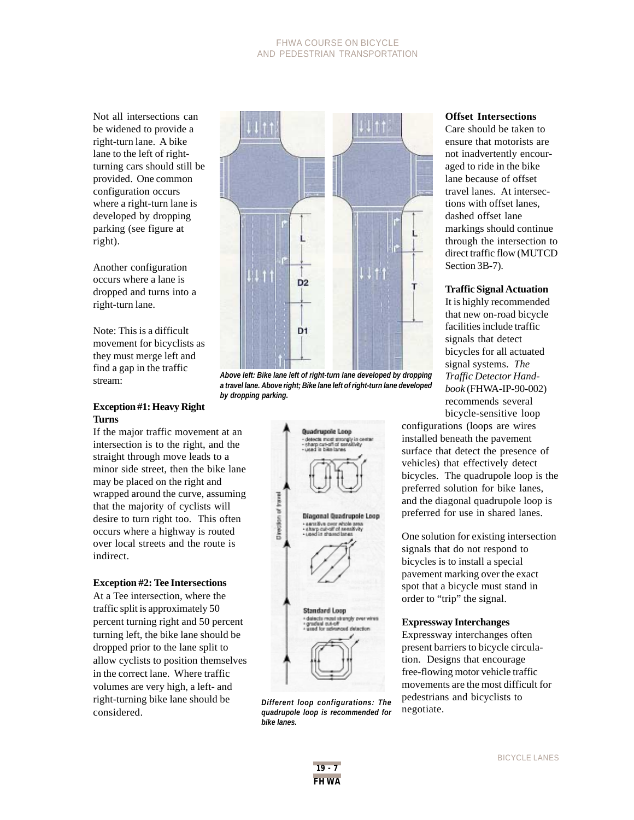Not all intersections can be widened to provide a right-turn lane. A bike lane to the left of rightturning cars should still be provided. One common configuration occurs where a right-turn lane is developed by dropping parking (see figure at right).

Another configuration occurs where a lane is dropped and turns into a right-turn lane.

Note: This is a difficult movement for bicyclists as they must merge left and find a gap in the traffic stream:

#### **Exception #1:Heavy Right Turns**

If the major traffic movement at an intersection is to the right, and the straight through move leads to a minor side street, then the bike lane may be placed on the right and wrapped around the curve, assuming that the majority of cyclists will desire to turn right too. This often occurs where a highway is routed over local streets and the route is indirect.

#### **Exception #2: Tee Intersections**

At a Tee intersection, where the traffic split is approximately 50 percent turning right and 50 percent turning left, the bike lane should be dropped prior to the lane split to allow cyclists to position themselves in the correct lane. Where traffic volumes are very high, a left- and right-turning bike lane should be considered.



*Above left: Bike lane left of right-turn lane developed by dropping a travel lane. Above right; Bike lane left of right-turn lane developed by dropping parking.*



*Different loop configurations: The quadrupole loop is recommended for bike lanes.*

#### **Offset Intersections**

Care should be taken to ensure that motorists are not inadvertently encouraged to ride in the bike lane because of offset travel lanes. At intersections with offset lanes, dashed offset lane markings should continue through the intersection to direct traffic flow (MUTCD Section 3B-7).

#### **Traffic Signal Actuation**

It is highly recommended that new on-road bicycle facilities include traffic signals that detect bicycles for all actuated signal systems. *The Traffic Detector Handbook* (FHWA-IP-90-002) recommends several bicycle-sensitive loop

configurations (loops are wires installed beneath the pavement surface that detect the presence of vehicles) that effectively detect bicycles. The quadrupole loop is the preferred solution for bike lanes, and the diagonal quadrupole loop is preferred for use in shared lanes.

One solution for existing intersection signals that do not respond to bicycles is to install a special pavement marking over the exact spot that a bicycle must stand in order to "trip" the signal.

#### **Expressway Interchanges**

Expressway interchanges often present barriers to bicycle circulation. Designs that encourage free-flowing motor vehicle traffic movements are the most difficult for pedestrians and bicyclists to negotiate.

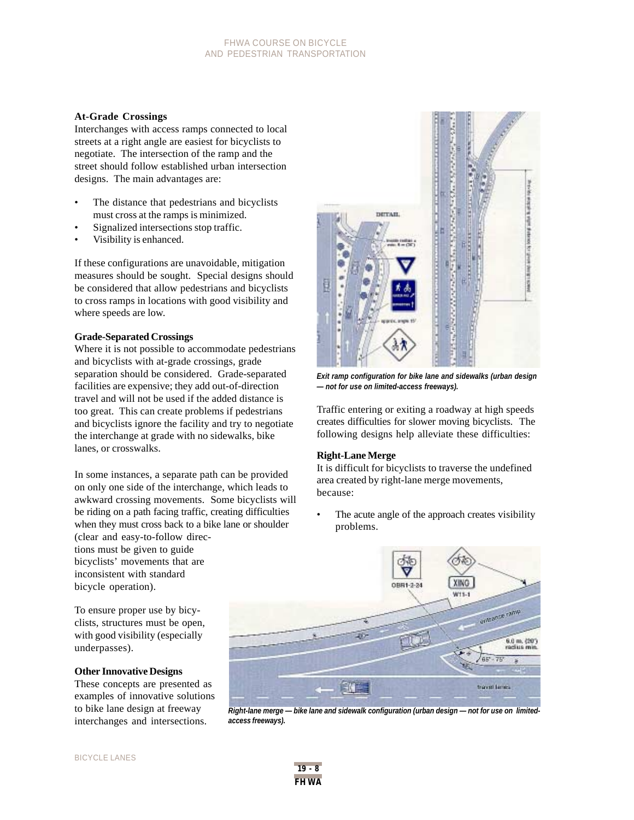#### **At-Grade Crossings**

Interchanges with access ramps connected to local streets at a right angle are easiest for bicyclists to negotiate. The intersection of the ramp and the street should follow established urban intersection designs. The main advantages are:

- The distance that pedestrians and bicyclists must cross at the ramps is minimized.
- Signalized intersections stop traffic.
- Visibility is enhanced.

If these configurations are unavoidable, mitigation measures should be sought. Special designs should be considered that allow pedestrians and bicyclists to cross ramps in locations with good visibility and where speeds are low.

#### **Grade-Separated Crossings**

Where it is not possible to accommodate pedestrians and bicyclists with at-grade crossings, grade separation should be considered. Grade-separated facilities are expensive; they add out-of-direction travel and will not be used if the added distance is too great. This can create problems if pedestrians and bicyclists ignore the facility and try to negotiate the interchange at grade with no sidewalks, bike lanes, or crosswalks.

In some instances, a separate path can be provided on only one side of the interchange, which leads to awkward crossing movements. Some bicyclists will be riding on a path facing traffic, creating difficulties when they must cross back to a bike lane or shoulder (clear and easy-to-follow directions must be given to guide bicyclists' movements that are inconsistent with standard

bicycle operation).

To ensure proper use by bicyclists, structures must be open, with good visibility (especially underpasses).

#### **Other Innovative Designs**

These concepts are presented as examples of innovative solutions to bike lane design at freeway interchanges and intersections.



*Exit ramp configuration for bike lane and sidewalks (urban design — not for use on limited-access freeways).*

Traffic entering or exiting a roadway at high speeds creates difficulties for slower moving bicyclists. The following designs help alleviate these difficulties:

#### **Right-Lane Merge**

It is difficult for bicyclists to traverse the undefined area created by right-lane merge movements, because:

The acute angle of the approach creates visibility problems.



*Right-lane merge — bike lane and sidewalk configuration (urban design — not for use on limitedaccess freeways).*

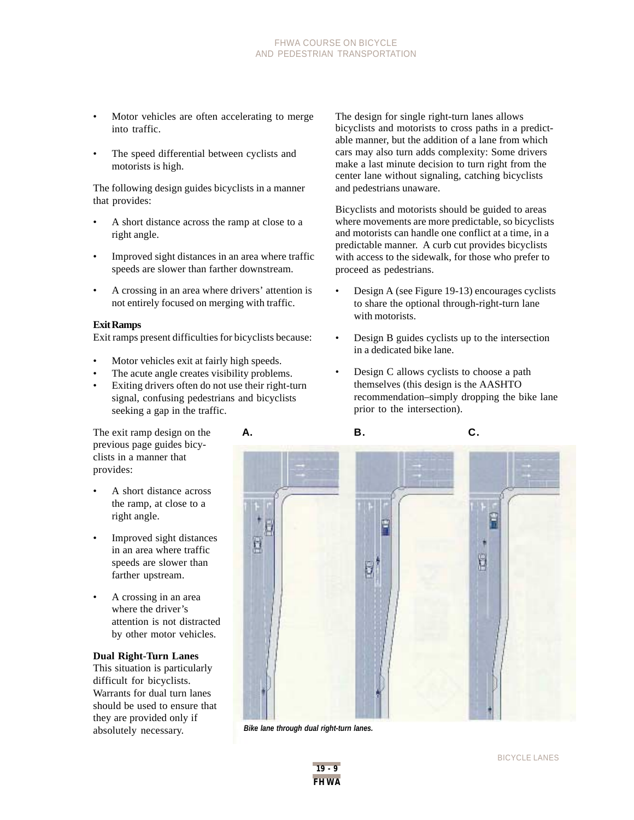- Motor vehicles are often accelerating to merge into traffic.
- The speed differential between cyclists and motorists is high.

The following design guides bicyclists in a manner that provides:

- A short distance across the ramp at close to a right angle.
- Improved sight distances in an area where traffic speeds are slower than farther downstream.
- A crossing in an area where drivers' attention is not entirely focused on merging with traffic.

#### **Exit Ramps**

Exit ramps present difficulties for bicyclists because:

- Motor vehicles exit at fairly high speeds.
- The acute angle creates visibility problems.
- Exiting drivers often do not use their right-turn signal, confusing pedestrians and bicyclists seeking a gap in the traffic.

The exit ramp design on the previous page guides bicyclists in a manner that provides:

- A short distance across the ramp, at close to a right angle.
- Improved sight distances in an area where traffic speeds are slower than farther upstream.
- A crossing in an area where the driver's attention is not distracted by other motor vehicles.

#### **Dual Right-Turn Lanes**

This situation is particularly difficult for bicyclists. Warrants for dual turn lanes should be used to ensure that they are provided only if absolutely necessary.

The design for single right-turn lanes allows bicyclists and motorists to cross paths in a predictable manner, but the addition of a lane from which cars may also turn adds complexity: Some drivers make a last minute decision to turn right from the center lane without signaling, catching bicyclists and pedestrians unaware.

Bicyclists and motorists should be guided to areas where movements are more predictable, so bicyclists and motorists can handle one conflict at a time, in a predictable manner. A curb cut provides bicyclists with access to the sidewalk, for those who prefer to proceed as pedestrians.

- Design A (see Figure 19-13) encourages cyclists to share the optional through-right-turn lane with motorists.
- Design B guides cyclists up to the intersection in a dedicated bike lane.
- Design C allows cyclists to choose a path themselves (this design is the AASHTO recommendation–simply dropping the bike lane prior to the intersection).



#### **A. B. C.**



*Bike lane through dual right-turn lanes.*